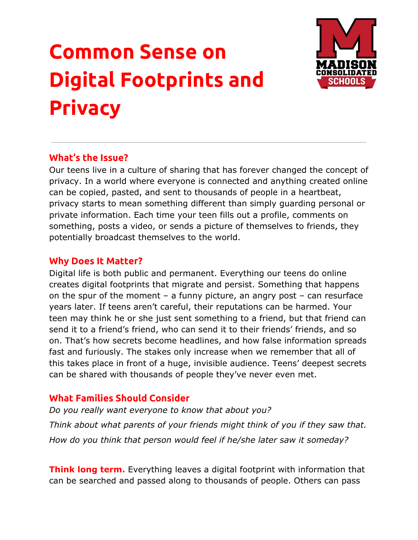## **Common Sense on Digital Footprints and Privacy**



## **What's the Issue?**

Our teens live in a culture of sharing that has forever changed the concept of privacy. In a world where everyone is connected and anything created online can be copied, pasted, and sent to thousands of people in a heartbeat, privacy starts to mean something different than simply guarding personal or private information. Each time your teen fills out a profile, comments on something, posts a video, or sends a picture of themselves to friends, they potentially broadcast themselves to the world.

## **Why Does It Matter?**

Digital life is both public and permanent. Everything our teens do online creates digital footprints that migrate and persist. Something that happens on the spur of the moment – a funny picture, an angry post – can resurface years later. If teens aren't careful, their reputations can be harmed. Your teen may think he or she just sent something to a friend, but that friend can send it to a friend's friend, who can send it to their friends' friends, and so on. That's how secrets become headlines, and how false information spreads fast and furiously. The stakes only increase when we remember that all of this takes place in front of a huge, invisible audience. Teens' deepest secrets can be shared with thousands of people they've never even met.

## **What Families Should Consider**

*Do you really want everyone to know that about you? Think about what parents of your friends might think of you if they saw that. How do you think that person would feel if he/she later saw it someday?*

**Think long term.** Everything leaves a digital footprint with information that can be searched and passed along to thousands of people. Others can pass